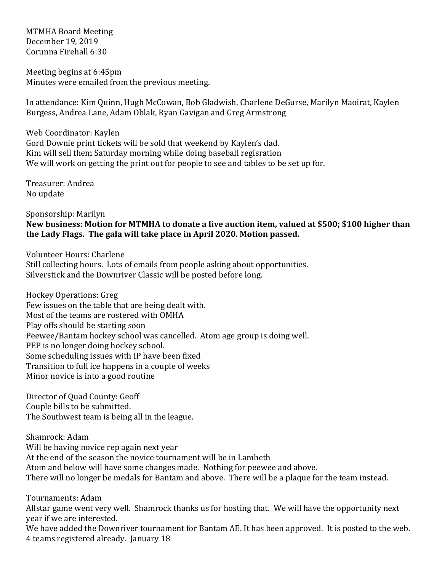MTMHA Board Meeting December 19, 2019 Corunna Firehall 6:30

Meeting begins at 6:45pm Minutes were emailed from the previous meeting.

In attendance: Kim Quinn, Hugh McCowan, Bob Gladwish, Charlene DeGurse, Marilyn Maoirat, Kaylen Burgess, Andrea Lane, Adam Oblak, Ryan Gavigan and Greg Armstrong

Web Coordinator: Kaylen Gord Downie print tickets will be sold that weekend by Kaylen's dad. Kim will sell them Saturday morning while doing baseball regisration We will work on getting the print out for people to see and tables to be set up for.

Treasurer: Andrea No update

Sponsorship: Marilyn New business: Motion for MTMHA to donate a live auction item, valued at \$500; \$100 higher than the Lady Flags. The gala will take place in April 2020. Motion passed.

Volunteer Hours: Charlene Still collecting hours. Lots of emails from people asking about opportunities. Silverstick and the Downriver Classic will be posted before long.

Hockey Operations: Greg Few issues on the table that are being dealt with. Most of the teams are rostered with OMHA Play offs should be starting soon Peewee/Bantam hockey school was cancelled. Atom age group is doing well. PEP is no longer doing hockey school. Some scheduling issues with IP have been fixed Transition to full ice happens in a couple of weeks Minor novice is into a good routine

Director of Quad County: Geoff Couple bills to be submitted. The Southwest team is being all in the league.

Shamrock: Adam Will be having novice rep again next year At the end of the season the novice tournament will be in Lambeth Atom and below will have some changes made. Nothing for peewee and above. There will no longer be medals for Bantam and above. There will be a plaque for the team instead.

Tournaments: Adam

Allstar game went very well. Shamrock thanks us for hosting that. We will have the opportunity next year if we are interested.

We have added the Downriver tournament for Bantam AE. It has been approved. It is posted to the web. 4 teams registered already. January 18